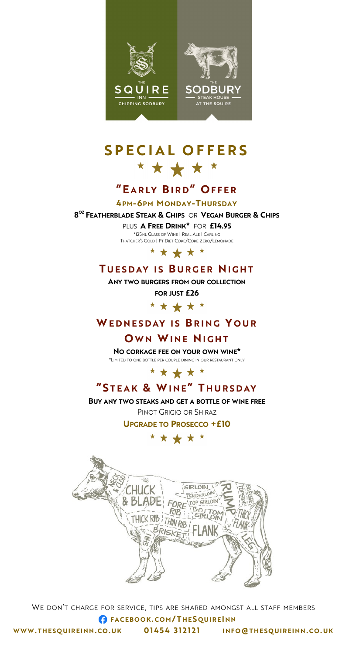



# **S P E C I A L O F F E R S** \* \* \* \* \*

# **"E A R LY BIRD" O F F E R**

**4PM-6PM MONDAY-THURSDAY**

**8 OZ FEATHERBLADE STEAK & CHIPS** OR **VEGAN BURGER & CHIPS**

PLUS**A FREE DRINK\*** FOR **£14.95**

\*125ML GLASS OF WINE | REAL ALE | CARLING THATCHER'S GOLD | PT DIET COKE/COKE ZERO/LEMONADE



# **T U E S D AY I S B U R G E R NI G H T**

**ANY TWO BURGERS FROM OUR COLLECTION**

**FOR JUST £26**

\* \* \* \* \*

## **WE D N E S D AY I S B R I N G Y O U R**

## **OWN WINE NIGHT**

**NO CORKAGE FEE ON YOUR OWN WINE\*** \*LIMITED TO ONE BOTTLE PER COUPLE DINING IN OUR RESTAURANT ONLY



# **" S TEAK & WI N E" T H U R S D AY**

**BUY ANY TWO STEAKS AND GET A BOTTLE OF WINE FREE** PINOT GRIGIO OR SHIRAZ

**UPGRADE TO PROSECCO +£10**

## \* \* \* \* \*



WE DON'T CHARGE FOR SERVICE, TIPS ARE SHARED AMONGST ALL STAFF MEMBERS **F A C EB O O K. C O M / T H ES Q U I R EI N N WWW. T H ES Q UI R EI N N .C O. U K 0 1 4 5 4 3 1 2 1 2 1 I N FO@T H E S Q UI R EI N N .C O . UK**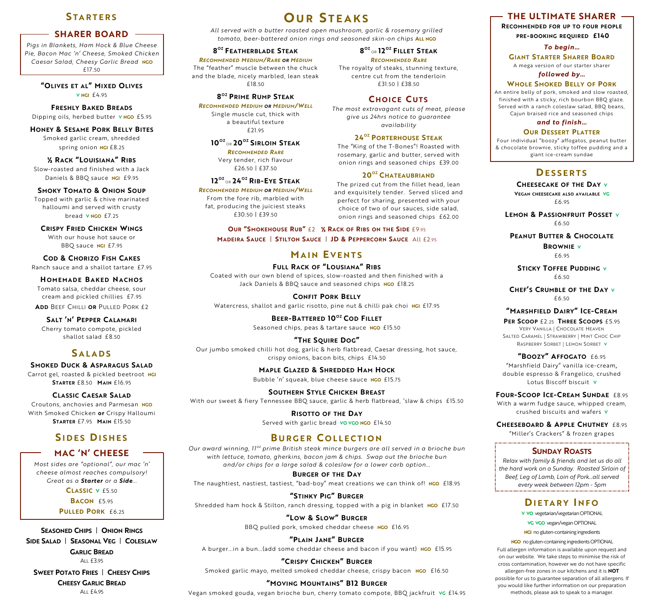## **S T A R T E R S**

#### **SHARER BOARD**

*Pigs in Blankets, Ham Hock & Blue Cheese Pie, Bacon Mac 'n' Cheese, Smoked Chicken Caesar Salad, Cheesy Garlic Bread* **NGO**  £17.50

> **"OLIVES ET AL" MIXED OLIVES V NGI** £4.95

**FRESHLY BAKED BREADS** Dipping oils, herbed butter **V NGO** £5.95

## **HONEY & SESAME PORK BELLY BITES**

Smoked garlic cream, shredded spring onion **NGI** £8.25

**½ RACK "LOUISIANA" RIBS**  Slow-roasted and finished with a Jack Daniels & BBQ sauce **NGI** £9.95

#### **SMOKY TOMATO & ONION SOUP**

Topped with garlic & chive marinated halloumi and served with crusty bread **V NGO** £7.25

**CRISPY FRIED CHICKEN WINGS** With our house hot sauce or BBQ sauce **NGI** £7.95

**COD & CHORIZO FISH CAKES** Ranch sauce and a shallot tartare£7.95

**HOMEMADE BAKED NACHOS** Tomato salsa, cheddar cheese, sour cream and pickled chillies £7.95

**ADD** BEEF CHILLI **OR** PULLED PORK £2

**SALT 'N' PEPPER CALAMARI** Cherry tomato compote, pickled shallot salad£8.50

## **S A L A D S**

**SMOKED DUCK & ASPARAGUS SALAD** Carrot gel, roasted & pickled beetroot **NGI STARTER** £8.50 **MAIN** £16.95

**CLASSIC CAESAR SALAD** Croutons, anchovies and Parmesan **NGO** With Smoked Chicken **or** Crispy Halloumi **STARTER** £7.95 **MAIN** £15.50

## **S I D E S DI S H E S**

#### **MAC 'N' CHEESE**

*Most sides are "optional", our mac 'n' cheese almost reaches compulsory! Great as a Starter or a Side...*

> **CLASSIC V** £5.<sup>50</sup> **BACON** £5.<sup>95</sup>

**PULLED PORK** £6.<sup>25</sup>

**SEASONED CHIPS** | **ONION RINGS SIDE SALAD** | **SEASONAL VEG** | **COLESLAW GARLIC BREAD**  ALL £3.95

**SWEET POTATO FRIES** | **CHEESY CHIPS** 

**CHEESY GARLIC BREAD**  $Al1$   $f4.95$ 

**O U R S T E A K S**

*All served with a butter roasted open mushroom, garlic & rosemary grilled tomato, beer-battered onion rings and seasoned skin-on chips* **ALL NGO**

> **8 OZ** OR **12 OZ FILLET STEAK** *RECOMMENDED RARE* The royalty of steaks, stunning texture, centre cut from the tenderloin £31.50 | £38.50

**C H O I C E C U T S** *The most extravagant cuts of meat, please give us 24hrs notice to guarantee availability*  **24OZ PORTERHOUSE STEAK** The "King of the T-Bones"! Roasted with rosemary, garlic and butter, served with onion rings and seasoned chips £39.00 **20 OZ CHATEAUBRIAND** The prized cut from the fillet head, lean and exquisitely tender. Served sliced and perfect for sharing, presented with your choice of two of our sauces, side salad, onion rings and seasoned chips £62.00

#### **8 OZ FEATHERBLADE STEAK**

*RECOMMENDED MEDIUM/RARE OR MEDIUM* The "feather" muscle between the chuck and the blade, nicely marbled, lean steak £18.50

#### **8 OZ PRIME RUMP STEAK**

*RECOMMENDED MEDIUM OR MEDIUM/WELL* Single muscle cut, thick with

a beautiful texture £21.95

#### **10 OZ** OR **20 OZ SIRLOIN STEAK**

*RECOMMENDED RARE* Very tender, rich flavour £26.50 | £37.50

#### **12 OZ** OR **24OZ RIB-EYE STEAK**

*RECOMMENDED MEDIUM OR MEDIUM/WELL* From the fore rib, marbled with fat, producing the juiciest steaks £30.50 | £39.50

> **OUR "SMOKEHOUSE RUB"** £2 **½ RACK OF RIBS ON THE SIDE** £9.95 **MADEIRA SAUCE** | **STILTON SAUCE** | **JD & PEPPERCORN SAUCE** All £2.95

## **M A I N E V E N T S**

**FULL RACK OF "LOUSIANA" RIBS** Coated with our own blend of spices, slow-roasted and then finished with a Jack Daniels & BBQ sauce and seasoned chips **NGO** £18.25

**CONFIT PORK BELLY** Watercress, shallot and garlic risotto, pine nut & chilli pak choi **NGI** £17.95

> **BEER-BATTERED 10 OZ COD FILLET** Seasoned chips, peas & tartare sauce **NGO** £15.50

#### **"THE SQUIRE DOG"** Our jumbo smoked chilli hot dog, garlic & herb flatbread, Caesar dressing, hot sauce,

crispy onions, bacon bits, chips £14. 50 **MAPLE GLAZED & SHREDDED HAM HOCK** Bubble 'n' squeak, blue cheese sauce **NGO** £15.75

**SOUTHERN STYLE CHICKEN BREAST**

With our sweet & fiery Tennessee BBQ sauce, garlic & herb flatbread, 'slaw & chips £15.50

**RISOTTO OF THE DAY** Served with garlic bread **VO VGO NGO** £14.50

## **B U R G E R C O L L E C T I O N**

*Our award winning,*  $I^{0^z}$  *prime British steak mince burgers are all served in a brioche bun with lettuce, tomato, gherkins, bacon jam & chips. Swap out the brioche bun and/or chips for a large salad & coleslaw for a lower carb option...*

**BURGER OF THE DAY** The naughtiest, nastiest, tastiest, "bad-boy" meat creations we can think of! **NGO** £18.95

**"STINKY PIG" BURGER** Shredded ham hock & Stilton, ranch dressing, topped with a pig in blanket **NGO** £17.50

> **"LOW & SLOW" BURGER** BBQ pulled pork, smoked cheddar cheese **NGO** £16.95

**"PLAIN JANE" BURGER** A burger...in a bun...(add some cheddar cheese and bacon if you want) **NGO** £15.95

**"CRISPY CHICKEN" BURGER** Smoked garlic mayo, melted smoked cheddar cheese, crispy bacon **NGO** £16.<sup>50</sup>

**"MOVING MOUNTAINS" B12 BURGER** Vegan smoked gouda, vegan brioche bun, cherry tomato compote, BBQ jackfruit **VG** £14.95

## **THE ULTIMATE SHARER**

**RECOMMENDED FOR UP TO FOUR PEOPLE**

**PRE-BOOKING REQUIRED £140**

*To begin…*

**GIANT STARTER SHARER BOARD** A mega version of our starter sharer

*followed by…*

#### **WHOLE SMOKED BELLY OF PORK**

An entire belly of pork, smoked and slow roasted, finished with a sticky, rich bourbon BBQ glaze. Served with a ranch coleslaw salad, BBQ beans, Cajun braised rice and seasoned chips

*and to finish…*

#### **OUR DESSERT PLATTER**

Four individual "boozy" affogatos, peanut butter & chocolate brownie, sticky toffee pudding and a giant ice-cream sundae

#### **DE S S E R T S**

**CHEESECAKE OF THE DAY <sup>V</sup>**

**VEGAN CHEESECAKE ALSO AVAILABLE VG** £6.95

**LEMON & PASSIONFRUIT POSSET <sup>V</sup>** £6.50

**PEANUT BUTTER & CHOCOLATE BROWNIE <sup>V</sup>**

£6.95

**STICKY TOFFEE PUDDING <sup>V</sup>** £6.50

**CHEF'S CRUMBLE OF THE DAY <sup>V</sup>** £6.50

#### **"MARSHFIELD DAIRY" ICE-CREAM**

**PER SCOOP** £2.<sup>25</sup> **THREE SCOOPS** £5.95 VERY VANILLA **|** CHOCOLATE HEAVEN SALTED CARAMEL **|** STRAWBERRY **|** MINT CHOC CHIP RASPBERRY SORBET **|** LEMON SORBET **V**

**"BOOZY" AFFOGATO** £6.<sup>95</sup> "Marshfield Dairy" vanilla ice-cream**,**  double espresso & Frangelico, crushed Lotus Biscoff biscuit **V**

**FOUR-SCOOP ICE-CREAM SUNDAE** £8.<sup>95</sup>

With a warm fudge sauce, whipped cream, crushed biscuits and wafers **V**

**CHEESEBOARD & APPLE CHUTNEY** £8.<sup>95</sup> "Miller's Crackers" & frozen grapes

#### **SUNDAY ROASTS**

*Relax with family & friends and let us do all the hard work on a Sunday. Roasted Sirloin of Beef, Leg of Lamb, Loin of Pork...all served every week between 12pm - 5pm*

## **DI E T A R Y I N F O**

**V VO** vegetarian/vegetarian OPTIONAL

**VG VGO** vegan/vegan OPTIONAL

**NGI** no gluten-containing ingredients

**NGO** no gluten-containing ingredients OPTIONAL Full allergen information is available upon request and on our website. We take steps to minimise the risk of cross contamination, however we do not have specific allergen-free zones in our kitchens and it is **NOT**  possible for us to guarantee separation of all allergens. If you would like further information on our preparation methods, please ask to speak to a manager.